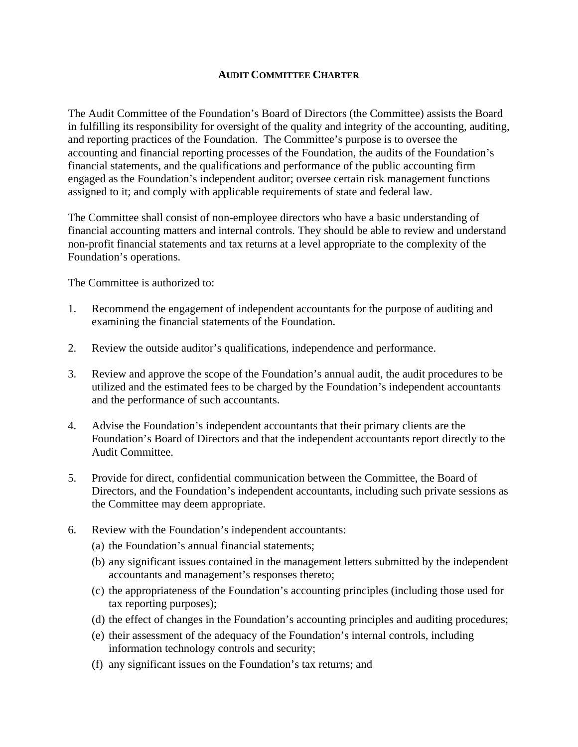## **AUDIT COMMITTEE CHARTER**

The Audit Committee of the Foundation's Board of Directors (the Committee) assists the Board in fulfilling its responsibility for oversight of the quality and integrity of the accounting, auditing, and reporting practices of the Foundation. The Committee's purpose is to oversee the accounting and financial reporting processes of the Foundation, the audits of the Foundation's financial statements, and the qualifications and performance of the public accounting firm engaged as the Foundation's independent auditor; oversee certain risk management functions assigned to it; and comply with applicable requirements of state and federal law.

The Committee shall consist of non-employee directors who have a basic understanding of financial accounting matters and internal controls. They should be able to review and understand non-profit financial statements and tax returns at a level appropriate to the complexity of the Foundation's operations.

The Committee is authorized to:

- 1. Recommend the engagement of independent accountants for the purpose of auditing and examining the financial statements of the Foundation.
- 2. Review the outside auditor's qualifications, independence and performance.
- 3. Review and approve the scope of the Foundation's annual audit, the audit procedures to be utilized and the estimated fees to be charged by the Foundation's independent accountants and the performance of such accountants.
- 4. Advise the Foundation's independent accountants that their primary clients are the Foundation's Board of Directors and that the independent accountants report directly to the Audit Committee.
- 5. Provide for direct, confidential communication between the Committee, the Board of Directors, and the Foundation's independent accountants, including such private sessions as the Committee may deem appropriate.
- 6. Review with the Foundation's independent accountants:
	- (a) the Foundation's annual financial statements;
	- (b) any significant issues contained in the management letters submitted by the independent accountants and management's responses thereto;
	- (c) the appropriateness of the Foundation's accounting principles (including those used for tax reporting purposes);
	- (d) the effect of changes in the Foundation's accounting principles and auditing procedures;
	- (e) their assessment of the adequacy of the Foundation's internal controls, including information technology controls and security;
	- (f) any significant issues on the Foundation's tax returns; and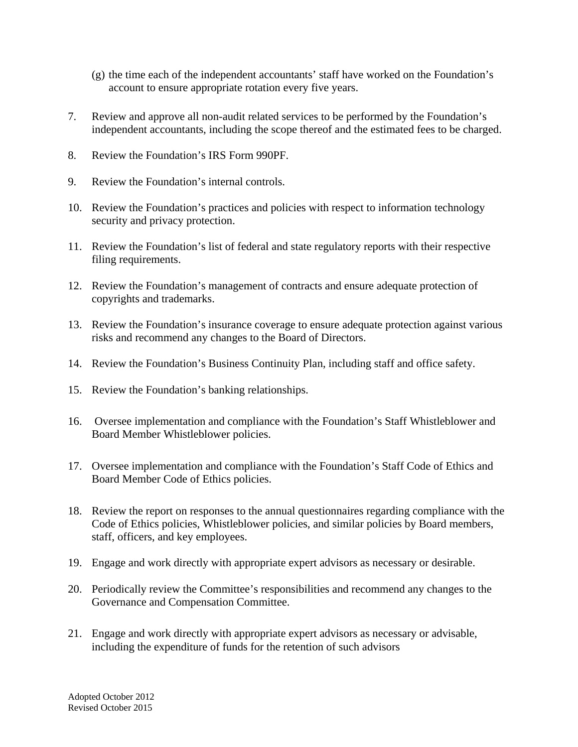- (g) the time each of the independent accountants' staff have worked on the Foundation's account to ensure appropriate rotation every five years.
- 7. Review and approve all non-audit related services to be performed by the Foundation's independent accountants, including the scope thereof and the estimated fees to be charged.
- 8. Review the Foundation's IRS Form 990PF.
- 9. Review the Foundation's internal controls.
- 10. Review the Foundation's practices and policies with respect to information technology security and privacy protection.
- 11. Review the Foundation's list of federal and state regulatory reports with their respective filing requirements.
- 12. Review the Foundation's management of contracts and ensure adequate protection of copyrights and trademarks.
- 13. Review the Foundation's insurance coverage to ensure adequate protection against various risks and recommend any changes to the Board of Directors.
- 14. Review the Foundation's Business Continuity Plan, including staff and office safety.
- 15. Review the Foundation's banking relationships.
- 16. Oversee implementation and compliance with the Foundation's Staff Whistleblower and Board Member Whistleblower policies.
- 17. Oversee implementation and compliance with the Foundation's Staff Code of Ethics and Board Member Code of Ethics policies.
- 18. Review the report on responses to the annual questionnaires regarding compliance with the Code of Ethics policies, Whistleblower policies, and similar policies by Board members, staff, officers, and key employees.
- 19. Engage and work directly with appropriate expert advisors as necessary or desirable.
- 20. Periodically review the Committee's responsibilities and recommend any changes to the Governance and Compensation Committee.
- 21. Engage and work directly with appropriate expert advisors as necessary or advisable, including the expenditure of funds for the retention of such advisors